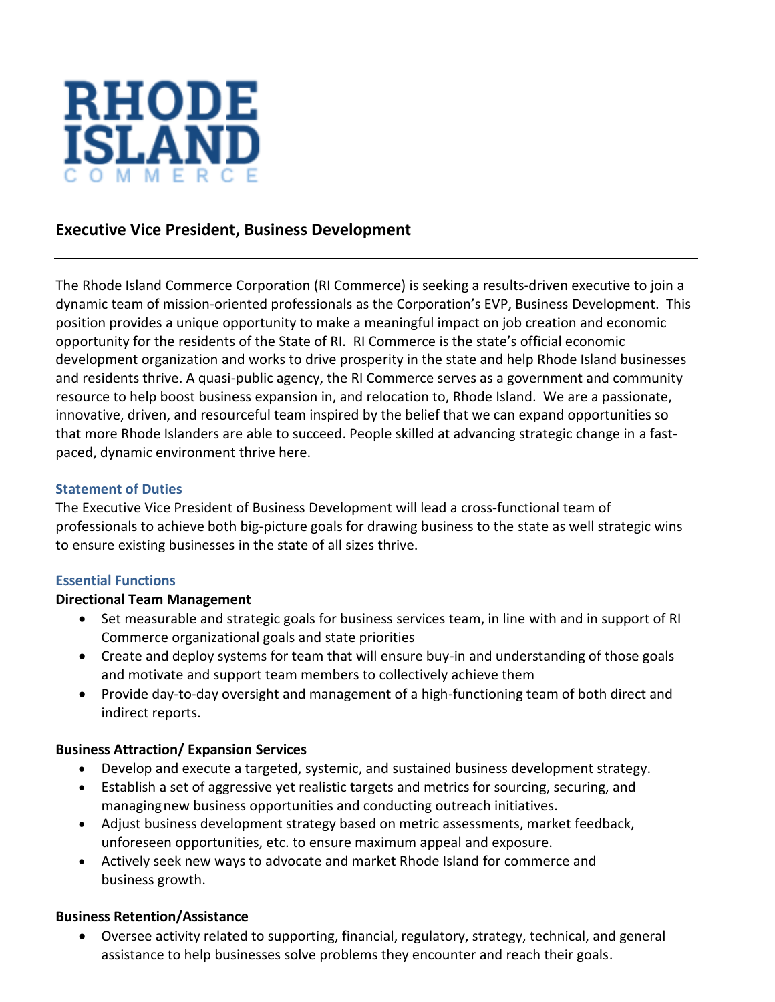

# **Executive Vice President, Business Development**

The Rhode Island Commerce Corporation (RI Commerce) is seeking a results-driven executive to join a dynamic team of mission-oriented professionals as the Corporation's EVP, Business Development. This position provides a unique opportunity to make a meaningful impact on job creation and economic opportunity for the residents of the State of RI. RI Commerce is the state's official economic development organization and works to drive prosperity in the state and help Rhode Island businesses and residents thrive. A quasi-public agency, the RI Commerce serves as a government and community resource to help boost business expansion in, and relocation to, Rhode Island. We are a passionate, innovative, driven, and resourceful team inspired by the belief that we can expand opportunities so that more Rhode Islanders are able to succeed. People skilled at advancing strategic change in a fastpaced, dynamic environment thrive here.

#### **Statement of Duties**

The Executive Vice President of Business Development will lead a cross-functional team of professionals to achieve both big-picture goals for drawing business to the state as well strategic wins to ensure existing businesses in the state of all sizes thrive.

#### **Essential Functions**

#### **Directional Team Management**

- Set measurable and strategic goals for business services team, in line with and in support of RI Commerce organizational goals and state priorities
- Create and deploy systems for team that will ensure buy-in and understanding of those goals and motivate and support team members to collectively achieve them
- Provide day-to-day oversight and management of a high-functioning team of both direct and indirect reports.

#### **Business Attraction/ Expansion Services**

- Develop and execute a targeted, systemic, and sustained business development strategy.
- Establish a set of aggressive yet realistic targets and metrics for sourcing, securing, and managingnew business opportunities and conducting outreach initiatives.
- Adjust business development strategy based on metric assessments, market feedback, unforeseen opportunities, etc. to ensure maximum appeal and exposure.
- Actively seek new ways to advocate and market Rhode Island for commerce and business growth.

#### **Business Retention/Assistance**

• Oversee activity related to supporting, financial, regulatory, strategy, technical, and general assistance to help businesses solve problems they encounter and reach their goals.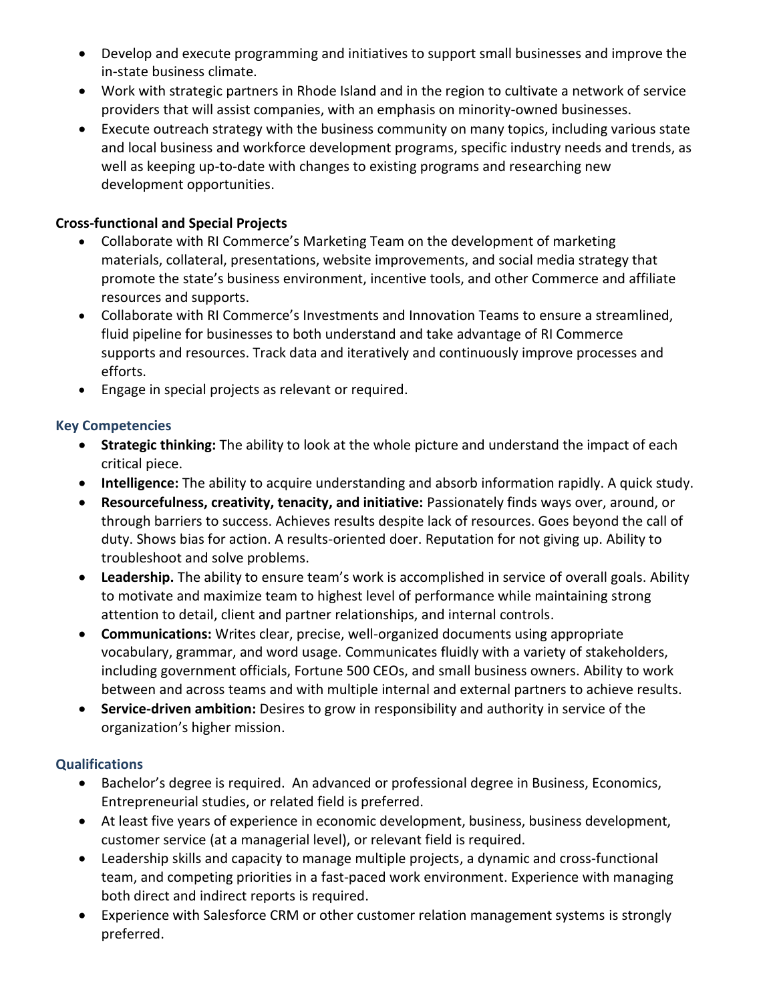- Develop and execute programming and initiatives to support small businesses and improve the in-state business climate.
- Work with strategic partners in Rhode Island and in the region to cultivate a network of service providers that will assist companies, with an emphasis on minority-owned businesses.
- Execute outreach strategy with the business community on many topics, including various state and local business and workforce development programs, specific industry needs and trends, as well as keeping up-to-date with changes to existing programs and researching new development opportunities.

## **Cross-functional and Special Projects**

- Collaborate with RI Commerce's Marketing Team on the development of marketing materials, collateral, presentations, website improvements, and social media strategy that promote the state's business environment, incentive tools, and other Commerce and affiliate resources and supports.
- Collaborate with RI Commerce's Investments and Innovation Teams to ensure a streamlined, fluid pipeline for businesses to both understand and take advantage of RI Commerce supports and resources. Track data and iteratively and continuously improve processes and efforts.
- Engage in special projects as relevant or required.

### **Key Competencies**

- **Strategic thinking:** The ability to look at the whole picture and understand the impact of each critical piece.
- **Intelligence:** The ability to acquire understanding and absorb information rapidly. A quick study.
- **Resourcefulness, creativity, tenacity, and initiative:** Passionately finds ways over, around, or through barriers to success. Achieves results despite lack of resources. Goes beyond the call of duty. Shows bias for action. A results-oriented doer. Reputation for not giving up. Ability to troubleshoot and solve problems.
- **Leadership.** The ability to ensure team's work is accomplished in service of overall goals. Ability to motivate and maximize team to highest level of performance while maintaining strong attention to detail, client and partner relationships, and internal controls.
- **Communications:** Writes clear, precise, well-organized documents using appropriate vocabulary, grammar, and word usage. Communicates fluidly with a variety of stakeholders, including government officials, Fortune 500 CEOs, and small business owners. Ability to work between and across teams and with multiple internal and external partners to achieve results.
- **Service-driven ambition:** Desires to grow in responsibility and authority in service of the organization's higher mission.

## **Qualifications**

- Bachelor's degree is required. An advanced or professional degree in Business, Economics, Entrepreneurial studies, or related field is preferred.
- At least five years of experience in economic development, business, business development, customer service (at a managerial level), or relevant field is required.
- Leadership skills and capacity to manage multiple projects, a dynamic and cross-functional team, and competing priorities in a fast-paced work environment. Experience with managing both direct and indirect reports is required.
- Experience with Salesforce CRM or other customer relation management systems is strongly preferred.